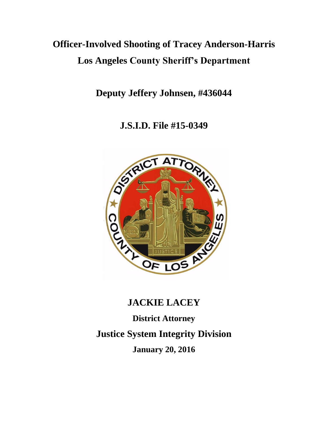# **Officer-Involved Shooting of Tracey Anderson-Harris Los Angeles County Sheriff's Department**

**Deputy Jeffery Johnsen, #436044**

**J.S.I.D. File #15-0349**



# **JACKIE LACEY**

**District Attorney Justice System Integrity Division January 20, 2016**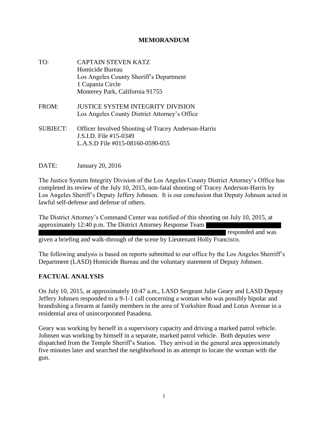#### **MEMORANDUM**

- TO: CAPTAIN STEVEN KATZ Homicide Bureau Los Angeles County Sheriff's Department 1 Cupania Circle Monterey Park, California 91755
- FROM: JUSTICE SYSTEM INTEGRITY DIVISION Los Angeles County District Attorney's Office
- SUBJECT: Officer Involved Shooting of Tracey Anderson-Harris J.S.I.D. File #15-0349 L.A.S.D File #015-08160-0590-055

DATE: January 20, 2016

The Justice System Integrity Division of the Los Angeles County District Attorney's Office has completed its review of the July 10, 2015, non-fatal shooting of Tracey Anderson-Harris by Los Angeles Sheriff's Deputy Jeffery Johnsen. It is our conclusion that Deputy Johnsen acted in lawful self-defense and defense of others.

The District Attorney's Command Center was notified of this shooting on July 10, 2015, at approximately 12:40 p.m. The District Attorney Response Team

responded and was given a briefing and walk-through of the scene by Lieutenant Holly Francisco.

The following analysis is based on reports submitted to our office by the Los Angeles Sherriff's Department (LASD) Homicide Bureau and the voluntary statement of Deputy Johnsen.

## **FACTUAL ANALYSIS**

On July 10, 2015, at approximately 10:47 a.m., LASD Sergeant Julie Geary and LASD Deputy Jeffery Johnsen responded to a 9-1-1 call concerning a woman who was possibly bipolar and brandishing a firearm at family members in the area of Yorkshire Road and Lotus Avenue in a residential area of unincorporated Pasadena.

Geary was working by herself in a supervisory capacity and driving a marked patrol vehicle. Johnsen was working by himself in a separate, marked patrol vehicle. Both deputies were dispatched from the Temple Sheriff's Station. They arrived in the general area approximately five minutes later and searched the neighborhood in an attempt to locate the woman with the gun.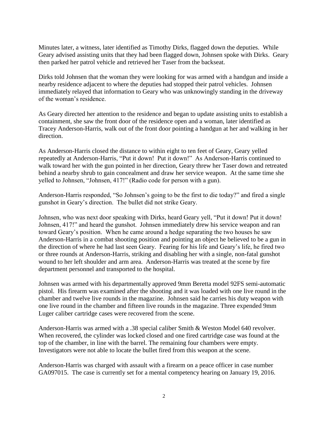Minutes later, a witness, later identified as Timothy Dirks, flagged down the deputies. While Geary advised assisting units that they had been flagged down, Johnsen spoke with Dirks. Geary then parked her patrol vehicle and retrieved her Taser from the backseat.

Dirks told Johnsen that the woman they were looking for was armed with a handgun and inside a nearby residence adjacent to where the deputies had stopped their patrol vehicles. Johnsen immediately relayed that information to Geary who was unknowingly standing in the driveway of the woman's residence.

As Geary directed her attention to the residence and began to update assisting units to establish a containment, she saw the front door of the residence open and a woman, later identified as Tracey Anderson-Harris, walk out of the front door pointing a handgun at her and walking in her direction.

As Anderson-Harris closed the distance to within eight to ten feet of Geary, Geary yelled repeatedly at Anderson-Harris, "Put it down! Put it down!" As Anderson-Harris continued to walk toward her with the gun pointed in her direction, Geary threw her Taser down and retreated behind a nearby shrub to gain concealment and draw her service weapon. At the same time she yelled to Johnsen, "Johnsen, 417!" (Radio code for person with a gun).

Anderson-Harris responded, "So Johnsen's going to be the first to die today?" and fired a single gunshot in Geary's direction. The bullet did not strike Geary.

Johnsen, who was next door speaking with Dirks, heard Geary yell, "Put it down! Put it down! Johnsen, 417!" and heard the gunshot. Johnsen immediately drew his service weapon and ran toward Geary's position. When he came around a hedge separating the two houses he saw Anderson-Harris in a combat shooting position and pointing an object he believed to be a gun in the direction of where he had last seen Geary. Fearing for his life and Geary's life, he fired two or three rounds at Anderson-Harris, striking and disabling her with a single, non-fatal gunshot wound to her left shoulder and arm area. Anderson-Harris was treated at the scene by fire department personnel and transported to the hospital.

Johnsen was armed with his departmentally approved 9mm Beretta model 92FS semi-automatic pistol. His firearm was examined after the shooting and it was loaded with one live round in the chamber and twelve live rounds in the magazine. Johnsen said he carries his duty weapon with one live round in the chamber and fifteen live rounds in the magazine. Three expended 9mm Luger caliber cartridge cases were recovered from the scene.

Anderson-Harris was armed with a .38 special caliber Smith & Weston Model 640 revolver. When recovered, the cylinder was locked closed and one fired cartridge case was found at the top of the chamber, in line with the barrel. The remaining four chambers were empty. Investigators were not able to locate the bullet fired from this weapon at the scene.

Anderson-Harris was charged with assault with a firearm on a peace officer in case number GA097015. The case is currently set for a mental competency hearing on January 19, 2016.